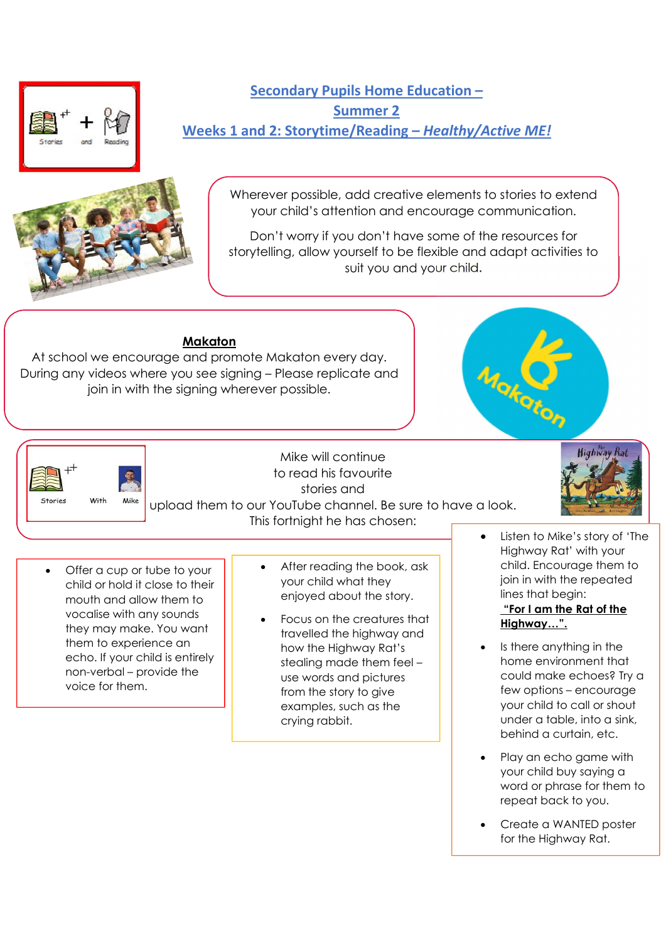



Secondary Pupils Home Education – Summer 2 Weeks 1 and 2: Storytime/Reading – Healthy/Active ME!

> Wherever possible, add creative elements to stories to extend your child's attention and encourage communication.

> Don't worry if you don't have some of the resources for storytelling, allow yourself to be flexible and adapt activities to suit you and your child.

# Makaton

At school we encourage and promote Makaton every day. During any videos where you see signing – Please replicate and join in with the signing wherever possible.





Mike will continue to read his favourite stories and upload them to our YouTube channel. Be sure to have a look.



The Highway Rat.

- Offer a cup or tube to your child or hold it close to their mouth and allow them to vocalise with any sounds they may make. You want them to experience an echo. If your child is entirely non-verbal – provide the voice for them.
- After reading the book, ask your child what they enjoyed about the story.
- Focus on the creatures that travelled the highway and how the Highway Rat's stealing made them feel – use words and pictures from the story to give examples, such as the crying rabbit.
- Listen to Mike's story of 'The Highway Rat' with your child. Encourage them to join in with the repeated lines that begin:

Highway Rai

# "For I am the Rat of the Highway…".

- Is there anything in the home environment that could make echoes? Try a few options – encourage your child to call or shout under a table, into a sink, behind a curtain, etc.
- Play an echo game with your child buy saying a word or phrase for them to repeat back to you.
- Create a WANTED poster for the Highway Rat.